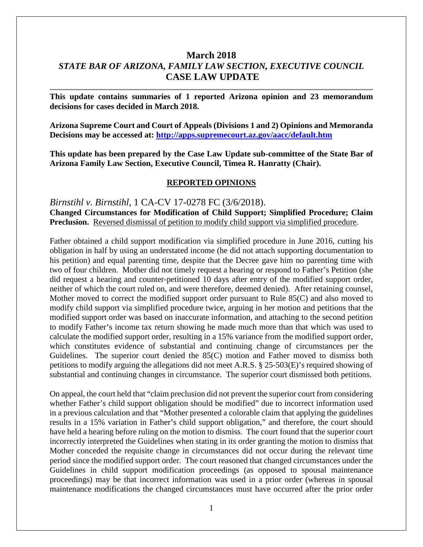# **March 2018** *STATE BAR OF ARIZONA, FAMILY LAW SECTION, EXECUTIVE COUNCIL* **CASE LAW UPDATE**

**This update contains summaries of 1 reported Arizona opinion and 23 memorandum decisions for cases decided in March 2018.**

**Arizona Supreme Court and Court of Appeals (Divisions 1 and 2) Opinions and Memoranda Decisions may be accessed at: <http://apps.supremecourt.az.gov/aacc/default.htm>**

**This update has been prepared by the Case Law Update sub-committee of the State Bar of Arizona Family Law Section, Executive Council, Timea R. Hanratty (Chair).**

#### **REPORTED OPINIONS**

*Birnstihl v. Birnstihl*, 1 CA-CV 17-0278 FC (3/6/2018). **Changed Circumstances for Modification of Child Support; Simplified Procedure; Claim Preclusion.** Reversed dismissal of petition to modify child support via simplified procedure.

Father obtained a child support modification via simplified procedure in June 2016, cutting his obligation in half by using an understated income (he did not attach supporting documentation to his petition) and equal parenting time, despite that the Decree gave him no parenting time with two of four children. Mother did not timely request a hearing or respond to Father's Petition (she did request a hearing and counter-petitioned 10 days after entry of the modified support order, neither of which the court ruled on, and were therefore, deemed denied). After retaining counsel, Mother moved to correct the modified support order pursuant to Rule 85(C) and also moved to modify child support via simplified procedure twice, arguing in her motion and petitions that the modified support order was based on inaccurate information, and attaching to the second petition to modify Father's income tax return showing he made much more than that which was used to calculate the modified support order, resulting in a 15% variance from the modified support order, which constitutes evidence of substantial and continuing change of circumstances per the Guidelines. The superior court denied the 85(C) motion and Father moved to dismiss both petitions to modify arguing the allegations did not meet A.R.S. § 25-503(E)'s required showing of substantial and continuing changes in circumstance. The superior court dismissed both petitions.

On appeal, the court held that "claim preclusion did not prevent the superior court from considering whether Father's child support obligation should be modified" due to incorrect information used in a previous calculation and that "Mother presented a colorable claim that applying the guidelines results in a 15% variation in Father's child support obligation," and therefore, the court should have held a hearing before ruling on the motion to dismiss. The court found that the superior court incorrectly interpreted the Guidelines when stating in its order granting the motion to dismiss that Mother conceded the requisite change in circumstances did not occur during the relevant time period since the modified support order. The court reasoned that changed circumstances under the Guidelines in child support modification proceedings (as opposed to spousal maintenance proceedings) may be that incorrect information was used in a prior order (whereas in spousal maintenance modifications the changed circumstances must have occurred after the prior order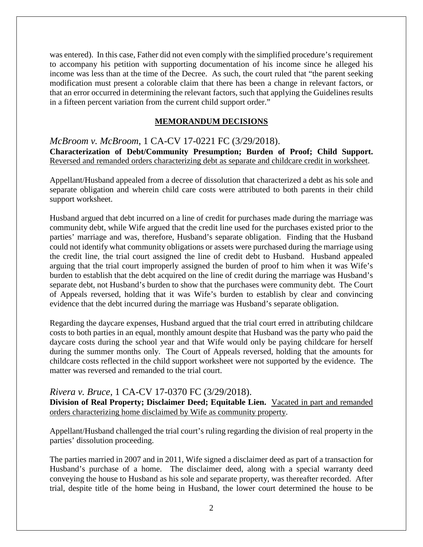was entered). In this case, Father did not even comply with the simplified procedure's requirement to accompany his petition with supporting documentation of his income since he alleged his income was less than at the time of the Decree. As such, the court ruled that "the parent seeking modification must present a colorable claim that there has been a change in relevant factors, or that an error occurred in determining the relevant factors, such that applying the Guidelines results in a fifteen percent variation from the current child support order."

#### **MEMORANDUM DECISIONS**

*McBroom v. McBroom*, 1 CA-CV 17-0221 FC (3/29/2018). **Characterization of Debt/Community Presumption; Burden of Proof; Child Support.**  Reversed and remanded orders characterizing debt as separate and childcare credit in worksheet.

Appellant/Husband appealed from a decree of dissolution that characterized a debt as his sole and separate obligation and wherein child care costs were attributed to both parents in their child support worksheet.

Husband argued that debt incurred on a line of credit for purchases made during the marriage was community debt, while Wife argued that the credit line used for the purchases existed prior to the parties' marriage and was, therefore, Husband's separate obligation. Finding that the Husband could not identify what community obligations or assets were purchased during the marriage using the credit line, the trial court assigned the line of credit debt to Husband. Husband appealed arguing that the trial court improperly assigned the burden of proof to him when it was Wife's burden to establish that the debt acquired on the line of credit during the marriage was Husband's separate debt, not Husband's burden to show that the purchases were community debt. The Court of Appeals reversed, holding that it was Wife's burden to establish by clear and convincing evidence that the debt incurred during the marriage was Husband's separate obligation.

Regarding the daycare expenses, Husband argued that the trial court erred in attributing childcare costs to both parties in an equal, monthly amount despite that Husband was the party who paid the daycare costs during the school year and that Wife would only be paying childcare for herself during the summer months only. The Court of Appeals reversed, holding that the amounts for childcare costs reflected in the child support worksheet were not supported by the evidence. The matter was reversed and remanded to the trial court.

## *Rivera v. Bruce*, 1 CA-CV 17-0370 FC (3/29/2018).

**Division of Real Property; Disclaimer Deed; Equitable Lien.** Vacated in part and remanded orders characterizing home disclaimed by Wife as community property.

Appellant/Husband challenged the trial court's ruling regarding the division of real property in the parties' dissolution proceeding.

The parties married in 2007 and in 2011, Wife signed a disclaimer deed as part of a transaction for Husband's purchase of a home. The disclaimer deed, along with a special warranty deed conveying the house to Husband as his sole and separate property, was thereafter recorded. After trial, despite title of the home being in Husband, the lower court determined the house to be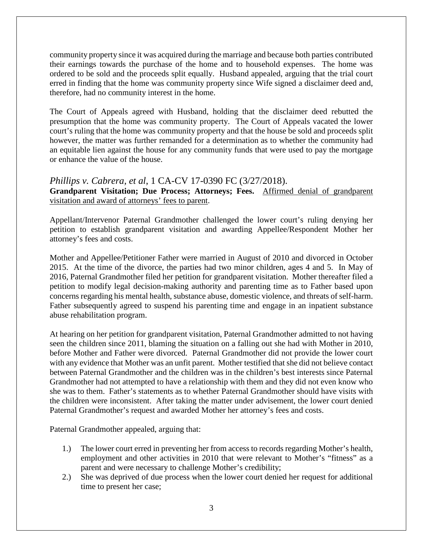community property since it was acquired during the marriage and because both parties contributed their earnings towards the purchase of the home and to household expenses. The home was ordered to be sold and the proceeds split equally. Husband appealed, arguing that the trial court erred in finding that the home was community property since Wife signed a disclaimer deed and, therefore, had no community interest in the home.

The Court of Appeals agreed with Husband, holding that the disclaimer deed rebutted the presumption that the home was community property. The Court of Appeals vacated the lower court's ruling that the home was community property and that the house be sold and proceeds split however, the matter was further remanded for a determination as to whether the community had an equitable lien against the house for any community funds that were used to pay the mortgage or enhance the value of the house.

*Phillips v. Cabrera, et al*, 1 CA-CV 17-0390 FC (3/27/2018). **Grandparent Visitation; Due Process; Attorneys; Fees.** Affirmed denial of grandparent visitation and award of attorneys' fees to parent.

Appellant/Intervenor Paternal Grandmother challenged the lower court's ruling denying her petition to establish grandparent visitation and awarding Appellee/Respondent Mother her attorney's fees and costs.

Mother and Appellee/Petitioner Father were married in August of 2010 and divorced in October 2015. At the time of the divorce, the parties had two minor children, ages 4 and 5. In May of 2016, Paternal Grandmother filed her petition for grandparent visitation. Mother thereafter filed a petition to modify legal decision-making authority and parenting time as to Father based upon concerns regarding his mental health, substance abuse, domestic violence, and threats of self-harm. Father subsequently agreed to suspend his parenting time and engage in an inpatient substance abuse rehabilitation program.

At hearing on her petition for grandparent visitation, Paternal Grandmother admitted to not having seen the children since 2011, blaming the situation on a falling out she had with Mother in 2010, before Mother and Father were divorced. Paternal Grandmother did not provide the lower court with any evidence that Mother was an unfit parent. Mother testified that she did not believe contact between Paternal Grandmother and the children was in the children's best interests since Paternal Grandmother had not attempted to have a relationship with them and they did not even know who she was to them. Father's statements as to whether Paternal Grandmother should have visits with the children were inconsistent. After taking the matter under advisement, the lower court denied Paternal Grandmother's request and awarded Mother her attorney's fees and costs.

Paternal Grandmother appealed, arguing that:

- 1.) The lower court erred in preventing her from access to records regarding Mother's health, employment and other activities in 2010 that were relevant to Mother's "fitness" as a parent and were necessary to challenge Mother's credibility;
- 2.) She was deprived of due process when the lower court denied her request for additional time to present her case;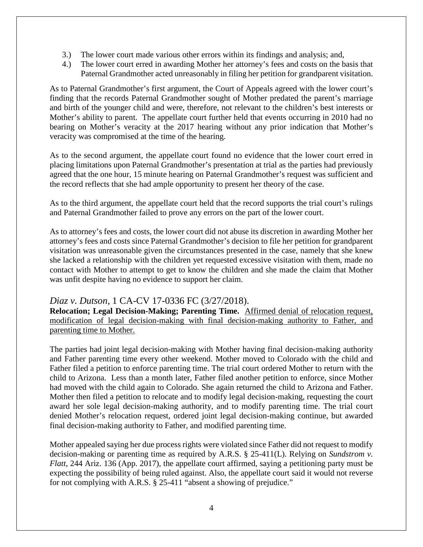- 3.) The lower court made various other errors within its findings and analysis; and,
- 4.) The lower court erred in awarding Mother her attorney's fees and costs on the basis that Paternal Grandmother acted unreasonably in filing her petition for grandparent visitation.

As to Paternal Grandmother's first argument, the Court of Appeals agreed with the lower court's finding that the records Paternal Grandmother sought of Mother predated the parent's marriage and birth of the younger child and were, therefore, not relevant to the children's best interests or Mother's ability to parent. The appellate court further held that events occurring in 2010 had no bearing on Mother's veracity at the 2017 hearing without any prior indication that Mother's veracity was compromised at the time of the hearing.

As to the second argument, the appellate court found no evidence that the lower court erred in placing limitations upon Paternal Grandmother's presentation at trial as the parties had previously agreed that the one hour, 15 minute hearing on Paternal Grandmother's request was sufficient and the record reflects that she had ample opportunity to present her theory of the case.

As to the third argument, the appellate court held that the record supports the trial court's rulings and Paternal Grandmother failed to prove any errors on the part of the lower court.

As to attorney's fees and costs, the lower court did not abuse its discretion in awarding Mother her attorney's fees and costs since Paternal Grandmother's decision to file her petition for grandparent visitation was unreasonable given the circumstances presented in the case, namely that she knew she lacked a relationship with the children yet requested excessive visitation with them, made no contact with Mother to attempt to get to know the children and she made the claim that Mother was unfit despite having no evidence to support her claim.

## *Diaz v. Dutson*, 1 CA-CV 17-0336 FC (3/27/2018).

**Relocation; Legal Decision-Making; Parenting Time.** Affirmed denial of relocation request, modification of legal decision-making with final decision-making authority to Father, and parenting time to Mother.

The parties had joint legal decision-making with Mother having final decision-making authority and Father parenting time every other weekend. Mother moved to Colorado with the child and Father filed a petition to enforce parenting time. The trial court ordered Mother to return with the child to Arizona. Less than a month later, Father filed another petition to enforce, since Mother had moved with the child again to Colorado. She again returned the child to Arizona and Father. Mother then filed a petition to relocate and to modify legal decision-making, requesting the court award her sole legal decision-making authority, and to modify parenting time. The trial court denied Mother's relocation request, ordered joint legal decision-making continue, but awarded final decision-making authority to Father, and modified parenting time.

Mother appealed saying her due process rights were violated since Father did not request to modify decision-making or parenting time as required by A.R.S. § 25-411(L). Relying on *Sundstrom v. Flatt*, 244 Ariz. 136 (App. 2017), the appellate court affirmed, saying a petitioning party must be expecting the possibility of being ruled against. Also, the appellate court said it would not reverse for not complying with A.R.S. § 25-411 "absent a showing of prejudice."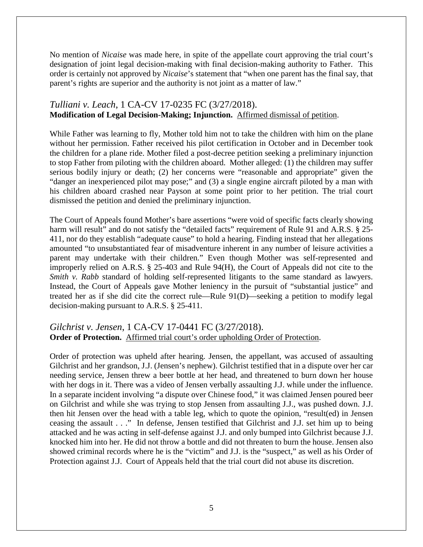No mention of *Nicaise* was made here, in spite of the appellate court approving the trial court's designation of joint legal decision-making with final decision-making authority to Father. This order is certainly not approved by *Nicaise*'s statement that "when one parent has the final say, that parent's rights are superior and the authority is not joint as a matter of law."

# *Tulliani v. Leach*, 1 CA-CV 17-0235 FC (3/27/2018). **Modification of Legal Decision-Making; Injunction.** Affirmed dismissal of petition.

While Father was learning to fly, Mother told him not to take the children with him on the plane without her permission. Father received his pilot certification in October and in December took the children for a plane ride. Mother filed a post-decree petition seeking a preliminary injunction to stop Father from piloting with the children aboard. Mother alleged: (1) the children may suffer serious bodily injury or death; (2) her concerns were "reasonable and appropriate" given the "danger an inexperienced pilot may pose;" and (3) a single engine aircraft piloted by a man with his children aboard crashed near Payson at some point prior to her petition. The trial court dismissed the petition and denied the preliminary injunction.

The Court of Appeals found Mother's bare assertions "were void of specific facts clearly showing harm will result" and do not satisfy the "detailed facts" requirement of Rule 91 and A.R.S. § 25-411, nor do they establish "adequate cause" to hold a hearing. Finding instead that her allegations amounted "to unsubstantiated fear of misadventure inherent in any number of leisure activities a parent may undertake with their children." Even though Mother was self-represented and improperly relied on A.R.S. § 25-403 and Rule 94(H), the Court of Appeals did not cite to the *Smith v. Rabb* standard of holding self-represented litigants to the same standard as lawyers. Instead, the Court of Appeals gave Mother leniency in the pursuit of "substantial justice" and treated her as if she did cite the correct rule—Rule 91(D)—seeking a petition to modify legal decision-making pursuant to A.R.S. § 25-411.

## *Gilchrist v. Jensen*, 1 CA-CV 17-0441 FC (3/27/2018). **Order of Protection.** Affirmed trial court's order upholding Order of Protection.

Order of protection was upheld after hearing. Jensen, the appellant, was accused of assaulting Gilchrist and her grandson, J.J. (Jensen's nephew). Gilchrist testified that in a dispute over her car needing service, Jensen threw a beer bottle at her head, and threatened to burn down her house with her dogs in it. There was a video of Jensen verbally assaulting J.J. while under the influence. In a separate incident involving "a dispute over Chinese food," it was claimed Jensen poured beer on Gilchrist and while she was trying to stop Jensen from assaulting J.J., was pushed down. J.J. then hit Jensen over the head with a table leg, which to quote the opinion, "result(ed) in Jensen ceasing the assault . . ." In defense, Jensen testified that Gilchrist and J.J. set him up to being attacked and he was acting in self-defense against J.J. and only bumped into Gilchrist because J.J. knocked him into her. He did not throw a bottle and did not threaten to burn the house. Jensen also showed criminal records where he is the "victim" and J.J. is the "suspect," as well as his Order of Protection against J.J. Court of Appeals held that the trial court did not abuse its discretion.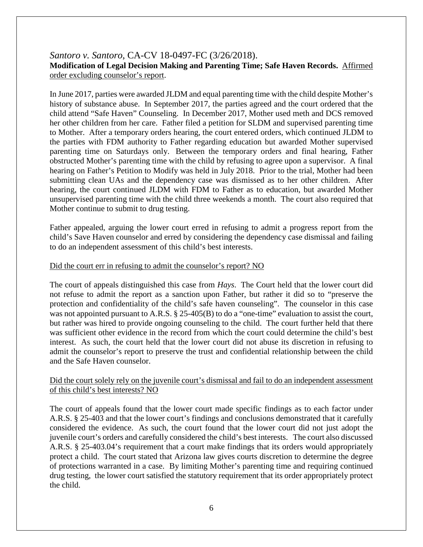## *Santoro v. Santoro*, CA-CV 18-0497-FC (3/26/2018). **Modification of Legal Decision Making and Parenting Time; Safe Haven Records.** Affirmed order excluding counselor's report.

In June 2017, parties were awarded JLDM and equal parenting time with the child despite Mother's history of substance abuse. In September 2017, the parties agreed and the court ordered that the child attend "Safe Haven" Counseling. In December 2017, Mother used meth and DCS removed her other children from her care. Father filed a petition for SLDM and supervised parenting time to Mother. After a temporary orders hearing, the court entered orders, which continued JLDM to the parties with FDM authority to Father regarding education but awarded Mother supervised parenting time on Saturdays only. Between the temporary orders and final hearing, Father obstructed Mother's parenting time with the child by refusing to agree upon a supervisor. A final hearing on Father's Petition to Modify was held in July 2018. Prior to the trial, Mother had been submitting clean UAs and the dependency case was dismissed as to her other children. After hearing, the court continued JLDM with FDM to Father as to education, but awarded Mother unsupervised parenting time with the child three weekends a month. The court also required that Mother continue to submit to drug testing.

Father appealed, arguing the lower court erred in refusing to admit a progress report from the child's Save Haven counselor and erred by considering the dependency case dismissal and failing to do an independent assessment of this child's best interests.

#### Did the court err in refusing to admit the counselor's report? NO

The court of appeals distinguished this case from *Hays*. The Court held that the lower court did not refuse to admit the report as a sanction upon Father, but rather it did so to "preserve the protection and confidentiality of the child's safe haven counseling". The counselor in this case was not appointed pursuant to A.R.S. § 25-405(B) to do a "one-time" evaluation to assist the court, but rather was hired to provide ongoing counseling to the child. The court further held that there was sufficient other evidence in the record from which the court could determine the child's best interest. As such, the court held that the lower court did not abuse its discretion in refusing to admit the counselor's report to preserve the trust and confidential relationship between the child and the Safe Haven counselor.

#### Did the court solely rely on the juvenile court's dismissal and fail to do an independent assessment of this child's best interests? NO

The court of appeals found that the lower court made specific findings as to each factor under A.R.S. § 25-403 and that the lower court's findings and conclusions demonstrated that it carefully considered the evidence. As such, the court found that the lower court did not just adopt the juvenile court's orders and carefully considered the child's best interests. The court also discussed A.R.S. § 25-403.04's requirement that a court make findings that its orders would appropriately protect a child. The court stated that Arizona law gives courts discretion to determine the degree of protections warranted in a case. By limiting Mother's parenting time and requiring continued drug testing, the lower court satisfied the statutory requirement that its order appropriately protect the child.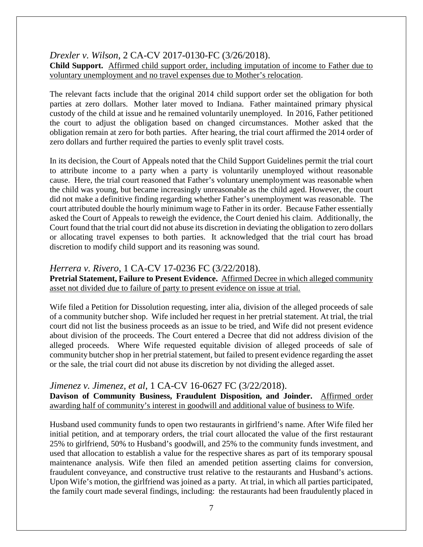*Drexler v. Wilson*, 2 CA-CV 2017-0130-FC (3/26/2018).

**Child Support.** Affirmed child support order, including imputation of income to Father due to voluntary unemployment and no travel expenses due to Mother's relocation.

The relevant facts include that the original 2014 child support order set the obligation for both parties at zero dollars. Mother later moved to Indiana. Father maintained primary physical custody of the child at issue and he remained voluntarily unemployed. In 2016, Father petitioned the court to adjust the obligation based on changed circumstances. Mother asked that the obligation remain at zero for both parties. After hearing, the trial court affirmed the 2014 order of zero dollars and further required the parties to evenly split travel costs.

In its decision, the Court of Appeals noted that the Child Support Guidelines permit the trial court to attribute income to a party when a party is voluntarily unemployed without reasonable cause. Here, the trial court reasoned that Father's voluntary unemployment was reasonable when the child was young, but became increasingly unreasonable as the child aged. However, the court did not make a definitive finding regarding whether Father's unemployment was reasonable. The court attributed double the hourly minimum wage to Father in its order. Because Father essentially asked the Court of Appeals to reweigh the evidence, the Court denied his claim. Additionally, the Court found that the trial court did not abuse its discretion in deviating the obligation to zero dollars or allocating travel expenses to both parties. It acknowledged that the trial court has broad discretion to modify child support and its reasoning was sound.

# *Herrera v. Rivero*, 1 CA-CV 17-0236 FC (3/22/2018).

**Pretrial Statement, Failure to Present Evidence.** Affirmed Decree in which alleged community asset not divided due to failure of party to present evidence on issue at trial.

Wife filed a Petition for Dissolution requesting, inter alia, division of the alleged proceeds of sale of a community butcher shop. Wife included her request in her pretrial statement. At trial, the trial court did not list the business proceeds as an issue to be tried, and Wife did not present evidence about division of the proceeds. The Court entered a Decree that did not address division of the alleged proceeds. Where Wife requested equitable division of alleged proceeds of sale of community butcher shop in her pretrial statement, but failed to present evidence regarding the asset or the sale, the trial court did not abuse its discretion by not dividing the alleged asset.

# *Jimenez v. Jimenez, et al*, 1 CA-CV 16-0627 FC (3/22/2018).

**Davison of Community Business, Fraudulent Disposition, and Joinder.** Affirmed order awarding half of community's interest in goodwill and additional value of business to Wife.

Husband used community funds to open two restaurants in girlfriend's name. After Wife filed her initial petition, and at temporary orders, the trial court allocated the value of the first restaurant 25% to girlfriend, 50% to Husband's goodwill, and 25% to the community funds investment, and used that allocation to establish a value for the respective shares as part of its temporary spousal maintenance analysis. Wife then filed an amended petition asserting claims for conversion, fraudulent conveyance, and constructive trust relative to the restaurants and Husband's actions. Upon Wife's motion, the girlfriend was joined as a party. At trial, in which all parties participated, the family court made several findings, including: the restaurants had been fraudulently placed in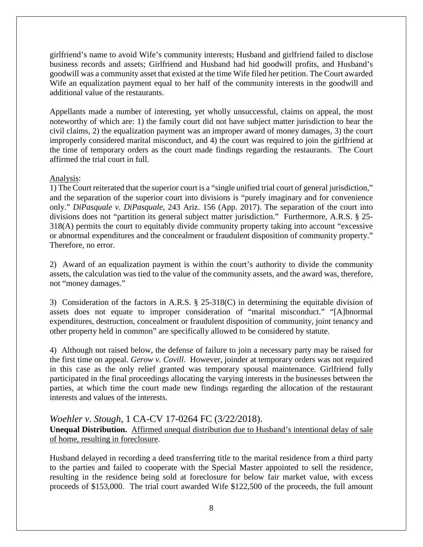girlfriend's name to avoid Wife's community interests; Husband and girlfriend failed to disclose business records and assets; Girlfriend and Husband had hid goodwill profits, and Husband's goodwill was a community asset that existed at the time Wife filed her petition. The Court awarded Wife an equalization payment equal to her half of the community interests in the goodwill and additional value of the restaurants.

Appellants made a number of interesting, yet wholly unsuccessful, claims on appeal, the most noteworthy of which are: 1) the family court did not have subject matter jurisdiction to hear the civil claims, 2) the equalization payment was an improper award of money damages, 3) the court improperly considered marital misconduct, and 4) the court was required to join the girlfriend at the time of temporary orders as the court made findings regarding the restaurants. The Court affirmed the trial court in full.

#### Analysis:

1) The Court reiterated that the superior court is a "single unified trial court of general jurisdiction," and the separation of the superior court into divisions is "purely imaginary and for convenience only." *DiPasquale v. DiPasquale*, 243 Ariz. 156 (App. 2017). The separation of the court into divisions does not "partition its general subject matter jurisdiction." Furthermore, A.R.S. § 25- 318(A) permits the court to equitably divide community property taking into account "excessive or abnormal expenditures and the concealment or fraudulent disposition of community property." Therefore, no error.

2) Award of an equalization payment is within the court's authority to divide the community assets, the calculation was tied to the value of the community assets, and the award was, therefore, not "money damages."

3) Consideration of the factors in A.R.S. § 25-318(C) in determining the equitable division of assets does not equate to improper consideration of "marital misconduct." "[A]bnormal expenditures, destruction, concealment or fraudulent disposition of community, joint tenancy and other property held in common" are specifically allowed to be considered by statute.

4) Although not raised below, the defense of failure to join a necessary party may be raised for the first time on appeal. *Gerow v. Covill*. However, joinder at temporary orders was not required in this case as the only relief granted was temporary spousal maintenance. Girlfriend fully participated in the final proceedings allocating the varying interests in the businesses between the parties, at which time the court made new findings regarding the allocation of the restaurant interests and values of the interests.

# *Woehler v. Stough*, 1 CA-CV 17-0264 FC (3/22/2018). **Unequal Distribution.** Affirmed unequal distribution due to Husband's intentional delay of sale of home, resulting in foreclosure.

Husband delayed in recording a deed transferring title to the marital residence from a third party to the parties and failed to cooperate with the Special Master appointed to sell the residence, resulting in the residence being sold at foreclosure for below fair market value, with excess proceeds of \$153,000. The trial court awarded Wife \$122,500 of the proceeds, the full amount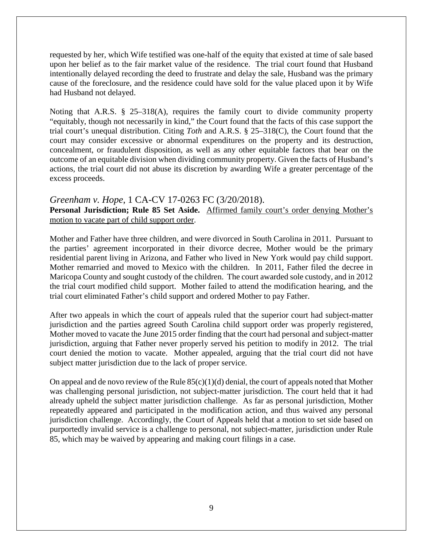requested by her, which Wife testified was one-half of the equity that existed at time of sale based upon her belief as to the fair market value of the residence. The trial court found that Husband intentionally delayed recording the deed to frustrate and delay the sale, Husband was the primary cause of the foreclosure, and the residence could have sold for the value placed upon it by Wife had Husband not delayed.

Noting that A.R.S. § 25–318(A), requires the family court to divide community property "equitably, though not necessarily in kind," the Court found that the facts of this case support the trial court's unequal distribution. Citing *Toth* and A.R.S. § 25–318(C), the Court found that the court may consider excessive or abnormal expenditures on the property and its destruction, concealment, or fraudulent disposition, as well as any other equitable factors that bear on the outcome of an equitable division when dividing community property. Given the facts of Husband's actions, the trial court did not abuse its discretion by awarding Wife a greater percentage of the excess proceeds.

#### *Greenham v. Hope*, 1 CA-CV 17-0263 FC (3/20/2018).

**Personal Jurisdiction; Rule 85 Set Aside.** Affirmed family court's order denying Mother's motion to vacate part of child support order.

Mother and Father have three children, and were divorced in South Carolina in 2011. Pursuant to the parties' agreement incorporated in their divorce decree, Mother would be the primary residential parent living in Arizona, and Father who lived in New York would pay child support. Mother remarried and moved to Mexico with the children. In 2011, Father filed the decree in Maricopa County and sought custody of the children. The court awarded sole custody, and in 2012 the trial court modified child support. Mother failed to attend the modification hearing, and the trial court eliminated Father's child support and ordered Mother to pay Father.

After two appeals in which the court of appeals ruled that the superior court had subject-matter jurisdiction and the parties agreed South Carolina child support order was properly registered, Mother moved to vacate the June 2015 order finding that the court had personal and subject-matter jurisdiction, arguing that Father never properly served his petition to modify in 2012. The trial court denied the motion to vacate. Mother appealed, arguing that the trial court did not have subject matter jurisdiction due to the lack of proper service.

On appeal and de novo review of the Rule  $85(c)(1)(d)$  denial, the court of appeals noted that Mother was challenging personal jurisdiction, not subject-matter jurisdiction. The court held that it had already upheld the subject matter jurisdiction challenge. As far as personal jurisdiction, Mother repeatedly appeared and participated in the modification action, and thus waived any personal jurisdiction challenge. Accordingly, the Court of Appeals held that a motion to set side based on purportedly invalid service is a challenge to personal, not subject-matter, jurisdiction under Rule 85, which may be waived by appearing and making court filings in a case.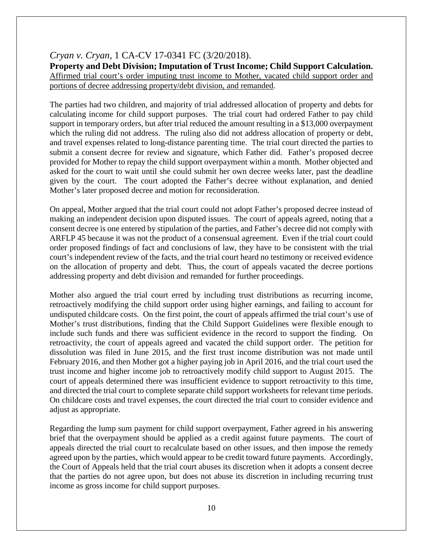### *Cryan v. Cryan*, 1 CA-CV 17-0341 FC (3/20/2018).

**Property and Debt Division; Imputation of Trust Income; Child Support Calculation.**  Affirmed trial court's order imputing trust income to Mother, vacated child support order and portions of decree addressing property/debt division, and remanded.

The parties had two children, and majority of trial addressed allocation of property and debts for calculating income for child support purposes. The trial court had ordered Father to pay child support in temporary orders, but after trial reduced the amount resulting in a \$13,000 overpayment which the ruling did not address. The ruling also did not address allocation of property or debt, and travel expenses related to long-distance parenting time. The trial court directed the parties to submit a consent decree for review and signature, which Father did. Father's proposed decree provided for Mother to repay the child support overpayment within a month. Mother objected and asked for the court to wait until she could submit her own decree weeks later, past the deadline given by the court. The court adopted the Father's decree without explanation, and denied Mother's later proposed decree and motion for reconsideration.

On appeal, Mother argued that the trial court could not adopt Father's proposed decree instead of making an independent decision upon disputed issues. The court of appeals agreed, noting that a consent decree is one entered by stipulation of the parties, and Father's decree did not comply with ARFLP 45 because it was not the product of a consensual agreement. Even if the trial court could order proposed findings of fact and conclusions of law, they have to be consistent with the trial court's independent review of the facts, and the trial court heard no testimony or received evidence on the allocation of property and debt. Thus, the court of appeals vacated the decree portions addressing property and debt division and remanded for further proceedings.

Mother also argued the trial court erred by including trust distributions as recurring income, retroactively modifying the child support order using higher earnings, and failing to account for undisputed childcare costs. On the first point, the court of appeals affirmed the trial court's use of Mother's trust distributions, finding that the Child Support Guidelines were flexible enough to include such funds and there was sufficient evidence in the record to support the finding. On retroactivity, the court of appeals agreed and vacated the child support order. The petition for dissolution was filed in June 2015, and the first trust income distribution was not made until February 2016, and then Mother got a higher paying job in April 2016, and the trial court used the trust income and higher income job to retroactively modify child support to August 2015. The court of appeals determined there was insufficient evidence to support retroactivity to this time, and directed the trial court to complete separate child support worksheets for relevant time periods. On childcare costs and travel expenses, the court directed the trial court to consider evidence and adjust as appropriate.

Regarding the lump sum payment for child support overpayment, Father agreed in his answering brief that the overpayment should be applied as a credit against future payments. The court of appeals directed the trial court to recalculate based on other issues, and then impose the remedy agreed upon by the parties, which would appear to be credit toward future payments. Accordingly, the Court of Appeals held that the trial court abuses its discretion when it adopts a consent decree that the parties do not agree upon, but does not abuse its discretion in including recurring trust income as gross income for child support purposes.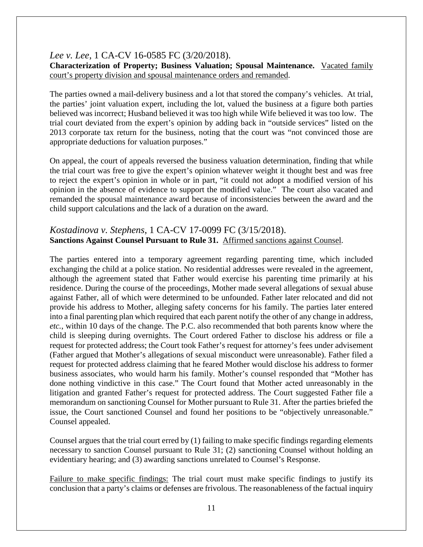# *Lee v. Lee*, 1 CA-CV 16-0585 FC (3/20/2018).

**Characterization of Property; Business Valuation; Spousal Maintenance.** Vacated family court's property division and spousal maintenance orders and remanded.

The parties owned a mail-delivery business and a lot that stored the company's vehicles. At trial, the parties' joint valuation expert, including the lot, valued the business at a figure both parties believed was incorrect; Husband believed it was too high while Wife believed it was too low. The trial court deviated from the expert's opinion by adding back in "outside services" listed on the 2013 corporate tax return for the business, noting that the court was "not convinced those are appropriate deductions for valuation purposes."

On appeal, the court of appeals reversed the business valuation determination, finding that while the trial court was free to give the expert's opinion whatever weight it thought best and was free to reject the expert's opinion in whole or in part, "it could not adopt a modified version of his opinion in the absence of evidence to support the modified value." The court also vacated and remanded the spousal maintenance award because of inconsistencies between the award and the child support calculations and the lack of a duration on the award.

# *Kostadinova v. Stephens*, 1 CA-CV 17-0099 FC (3/15/2018). **Sanctions Against Counsel Pursuant to Rule 31.** Affirmed sanctions against Counsel.

The parties entered into a temporary agreement regarding parenting time, which included exchanging the child at a police station. No residential addresses were revealed in the agreement, although the agreement stated that Father would exercise his parenting time primarily at his residence. During the course of the proceedings, Mother made several allegations of sexual abuse against Father, all of which were determined to be unfounded. Father later relocated and did not provide his address to Mother, alleging safety concerns for his family. The parties later entered into a final parenting plan which required that each parent notify the other of any change in address, *etc.*, within 10 days of the change. The P.C. also recommended that both parents know where the child is sleeping during overnights. The Court ordered Father to disclose his address or file a request for protected address; the Court took Father's request for attorney's fees under advisement (Father argued that Mother's allegations of sexual misconduct were unreasonable). Father filed a request for protected address claiming that he feared Mother would disclose his address to former business associates, who would harm his family. Mother's counsel responded that "Mother has done nothing vindictive in this case." The Court found that Mother acted unreasonably in the litigation and granted Father's request for protected address. The Court suggested Father file a memorandum on sanctioning Counsel for Mother pursuant to Rule 31. After the parties briefed the issue, the Court sanctioned Counsel and found her positions to be "objectively unreasonable." Counsel appealed.

Counsel argues that the trial court erred by (1) failing to make specific findings regarding elements necessary to sanction Counsel pursuant to Rule 31; (2) sanctioning Counsel without holding an evidentiary hearing; and (3) awarding sanctions unrelated to Counsel's Response.

Failure to make specific findings: The trial court must make specific findings to justify its conclusion that a party's claims or defenses are frivolous. The reasonableness of the factual inquiry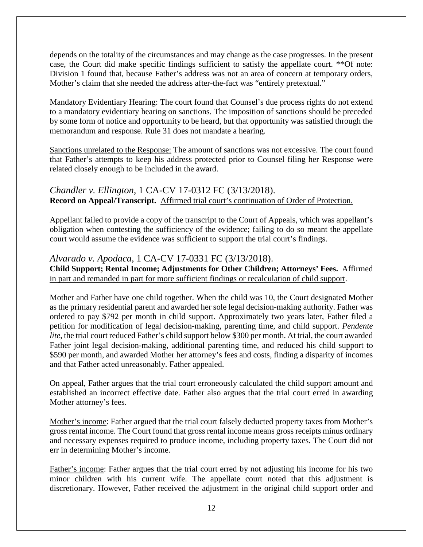depends on the totality of the circumstances and may change as the case progresses. In the present case, the Court did make specific findings sufficient to satisfy the appellate court. \*\*Of note: Division 1 found that, because Father's address was not an area of concern at temporary orders, Mother's claim that she needed the address after-the-fact was "entirely pretextual."

Mandatory Evidentiary Hearing: The court found that Counsel's due process rights do not extend to a mandatory evidentiary hearing on sanctions. The imposition of sanctions should be preceded by some form of notice and opportunity to be heard, but that opportunity was satisfied through the memorandum and response. Rule 31 does not mandate a hearing.

Sanctions unrelated to the Response: The amount of sanctions was not excessive. The court found that Father's attempts to keep his address protected prior to Counsel filing her Response were related closely enough to be included in the award.

*Chandler v. Ellington*, 1 CA-CV 17-0312 FC (3/13/2018). **Record on Appeal/Transcript.** Affirmed trial court's continuation of Order of Protection.

Appellant failed to provide a copy of the transcript to the Court of Appeals, which was appellant's obligation when contesting the sufficiency of the evidence; failing to do so meant the appellate court would assume the evidence was sufficient to support the trial court's findings.

# *Alvarado v. Apodaca*, 1 CA-CV 17-0331 FC (3/13/2018).

**Child Support; Rental Income; Adjustments for Other Children; Attorneys' Fees.** Affirmed in part and remanded in part for more sufficient findings or recalculation of child support.

Mother and Father have one child together. When the child was 10, the Court designated Mother as the primary residential parent and awarded her sole legal decision-making authority. Father was ordered to pay \$792 per month in child support. Approximately two years later, Father filed a petition for modification of legal decision-making, parenting time, and child support. *Pendente lite*, the trial court reduced Father's child support below \$300 per month. At trial, the court awarded Father joint legal decision-making, additional parenting time, and reduced his child support to \$590 per month, and awarded Mother her attorney's fees and costs, finding a disparity of incomes and that Father acted unreasonably. Father appealed.

On appeal, Father argues that the trial court erroneously calculated the child support amount and established an incorrect effective date. Father also argues that the trial court erred in awarding Mother attorney's fees.

Mother's income: Father argued that the trial court falsely deducted property taxes from Mother's gross rental income. The Court found that gross rental income means gross receipts minus ordinary and necessary expenses required to produce income, including property taxes. The Court did not err in determining Mother's income.

Father's income: Father argues that the trial court erred by not adjusting his income for his two minor children with his current wife. The appellate court noted that this adjustment is discretionary. However, Father received the adjustment in the original child support order and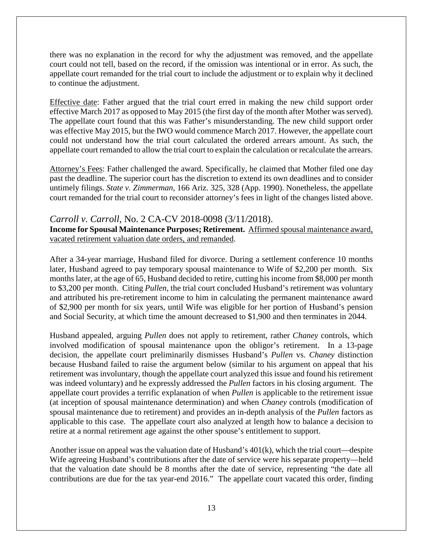there was no explanation in the record for why the adjustment was removed, and the appellate court could not tell, based on the record, if the omission was intentional or in error. As such, the appellate court remanded for the trial court to include the adjustment or to explain why it declined to continue the adjustment.

Effective date: Father argued that the trial court erred in making the new child support order effective March 2017 as opposed to May 2015 (the first day of the month after Mother was served). The appellate court found that this was Father's misunderstanding. The new child support order was effective May 2015, but the IWO would commence March 2017. However, the appellate court could not understand how the trial court calculated the ordered arrears amount. As such, the appellate court remanded to allow the trial court to explain the calculation or recalculate the arrears.

Attorney's Fees: Father challenged the award. Specifically, he claimed that Mother filed one day past the deadline. The superior court has the discretion to extend its own deadlines and to consider untimely filings. *State v. Zimmerman*, 166 Ariz. 325, 328 (App. 1990). Nonetheless, the appellate court remanded for the trial court to reconsider attorney's fees in light of the changes listed above.

## *Carroll v. Carroll*, No. 2 CA-CV 2018-0098 (3/11/2018).

**Income for Spousal Maintenance Purposes; Retirement.** Affirmed spousal maintenance award, vacated retirement valuation date orders, and remanded.

After a 34-year marriage, Husband filed for divorce. During a settlement conference 10 months later, Husband agreed to pay temporary spousal maintenance to Wife of \$2,200 per month. Six months later, at the age of 65, Husband decided to retire, cutting his income from \$8,000 per month to \$3,200 per month. Citing *Pullen*, the trial court concluded Husband's retirement was voluntary and attributed his pre-retirement income to him in calculating the permanent maintenance award of \$2,900 per month for six years, until Wife was eligible for her portion of Husband's pension and Social Security, at which time the amount decreased to \$1,900 and then terminates in 2044.

Husband appealed, arguing *Pullen* does not apply to retirement, rather *Chaney* controls, which involved modification of spousal maintenance upon the obligor's retirement. In a 13-page decision, the appellate court preliminarily dismisses Husband's *Pullen* vs. *Chaney* distinction because Husband failed to raise the argument below (similar to his argument on appeal that his retirement was involuntary, though the appellate court analyzed this issue and found his retirement was indeed voluntary) and he expressly addressed the *Pullen* factors in his closing argument. The appellate court provides a terrific explanation of when *Pullen* is applicable to the retirement issue (at inception of spousal maintenance determination) and when *Chaney* controls (modification of spousal maintenance due to retirement) and provides an in-depth analysis of the *Pullen* factors as applicable to this case. The appellate court also analyzed at length how to balance a decision to retire at a normal retirement age against the other spouse's entitlement to support.

Another issue on appeal was the valuation date of Husband's 401(k), which the trial court—despite Wife agreeing Husband's contributions after the date of service were his separate property—held that the valuation date should be 8 months after the date of service, representing "the date all contributions are due for the tax year-end 2016." The appellate court vacated this order, finding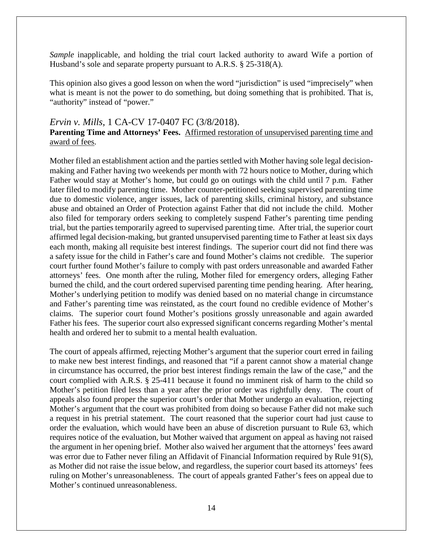*Sample* inapplicable, and holding the trial court lacked authority to award Wife a portion of Husband's sole and separate property pursuant to A.R.S. § 25-318(A).

This opinion also gives a good lesson on when the word "jurisdiction" is used "imprecisely" when what is meant is not the power to do something, but doing something that is prohibited. That is, "authority" instead of "power."

#### *Ervin v. Mills*, 1 CA-CV 17-0407 FC (3/8/2018).

### **Parenting Time and Attorneys' Fees.** Affirmed restoration of unsupervised parenting time and award of fees.

Mother filed an establishment action and the parties settled with Mother having sole legal decisionmaking and Father having two weekends per month with 72 hours notice to Mother, during which Father would stay at Mother's home, but could go on outings with the child until 7 p.m. Father later filed to modify parenting time. Mother counter-petitioned seeking supervised parenting time due to domestic violence, anger issues, lack of parenting skills, criminal history, and substance abuse and obtained an Order of Protection against Father that did not include the child. Mother also filed for temporary orders seeking to completely suspend Father's parenting time pending trial, but the parties temporarily agreed to supervised parenting time. After trial, the superior court affirmed legal decision-making, but granted unsupervised parenting time to Father at least six days each month, making all requisite best interest findings. The superior court did not find there was a safety issue for the child in Father's care and found Mother's claims not credible. The superior court further found Mother's failure to comply with past orders unreasonable and awarded Father attorneys' fees. One month after the ruling, Mother filed for emergency orders, alleging Father burned the child, and the court ordered supervised parenting time pending hearing. After hearing, Mother's underlying petition to modify was denied based on no material change in circumstance and Father's parenting time was reinstated, as the court found no credible evidence of Mother's claims. The superior court found Mother's positions grossly unreasonable and again awarded Father his fees. The superior court also expressed significant concerns regarding Mother's mental health and ordered her to submit to a mental health evaluation.

The court of appeals affirmed, rejecting Mother's argument that the superior court erred in failing to make new best interest findings, and reasoned that "if a parent cannot show a material change in circumstance has occurred, the prior best interest findings remain the law of the case," and the court complied with A.R.S. § 25-411 because it found no imminent risk of harm to the child so Mother's petition filed less than a year after the prior order was rightfully deny. The court of appeals also found proper the superior court's order that Mother undergo an evaluation, rejecting Mother's argument that the court was prohibited from doing so because Father did not make such a request in his pretrial statement. The court reasoned that the superior court had just cause to order the evaluation, which would have been an abuse of discretion pursuant to Rule 63, which requires notice of the evaluation, but Mother waived that argument on appeal as having not raised the argument in her opening brief. Mother also waived her argument that the attorneys' fees award was error due to Father never filing an Affidavit of Financial Information required by Rule 91(S), as Mother did not raise the issue below, and regardless, the superior court based its attorneys' fees ruling on Mother's unreasonableness. The court of appeals granted Father's fees on appeal due to Mother's continued unreasonableness.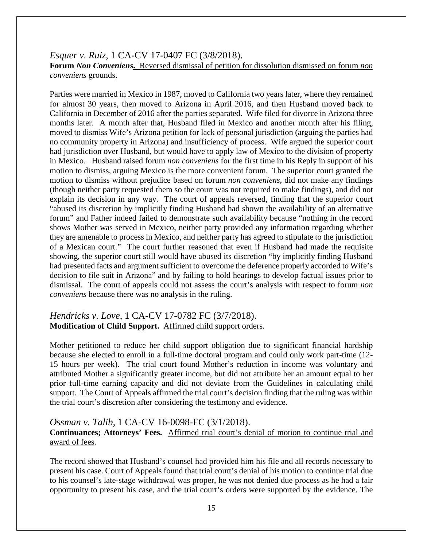## *Esquer v. Ruiz*, 1 CA-CV 17-0407 FC (3/8/2018). **Forum** *Non Conveniens***.** Reversed dismissal of petition for dissolution dismissed on forum *non conveniens* grounds.

Parties were married in Mexico in 1987, moved to California two years later, where they remained for almost 30 years, then moved to Arizona in April 2016, and then Husband moved back to California in December of 2016 after the parties separated. Wife filed for divorce in Arizona three months later. A month after that, Husband filed in Mexico and another month after his filing, moved to dismiss Wife's Arizona petition for lack of personal jurisdiction (arguing the parties had no community property in Arizona) and insufficiency of process. Wife argued the superior court had jurisdiction over Husband, but would have to apply law of Mexico to the division of property in Mexico. Husband raised forum *non conveniens* for the first time in his Reply in support of his motion to dismiss, arguing Mexico is the more convenient forum. The superior court granted the motion to dismiss without prejudice based on forum *non conveniens*, did not make any findings (though neither party requested them so the court was not required to make findings), and did not explain its decision in any way. The court of appeals reversed, finding that the superior court "abused its discretion by implicitly finding Husband had shown the availability of an alternative forum" and Father indeed failed to demonstrate such availability because "nothing in the record shows Mother was served in Mexico, neither party provided any information regarding whether they are amenable to process in Mexico, and neither party has agreed to stipulate to the jurisdiction of a Mexican court." The court further reasoned that even if Husband had made the requisite showing, the superior court still would have abused its discretion "by implicitly finding Husband had presented facts and argument sufficient to overcome the deference properly accorded to Wife's decision to file suit in Arizona" and by failing to hold hearings to develop factual issues prior to dismissal. The court of appeals could not assess the court's analysis with respect to forum *non conveniens* because there was no analysis in the ruling.

## *Hendricks v. Love*, 1 CA-CV 17-0782 FC (3/7/2018). **Modification of Child Support.** Affirmed child support orders*.*

Mother petitioned to reduce her child support obligation due to significant financial hardship because she elected to enroll in a full-time doctoral program and could only work part-time (12- 15 hours per week). The trial court found Mother's reduction in income was voluntary and attributed Mother a significantly greater income, but did not attribute her an amount equal to her prior full-time earning capacity and did not deviate from the Guidelines in calculating child support. The Court of Appeals affirmed the trial court's decision finding that the ruling was within the trial court's discretion after considering the testimony and evidence.

#### *Ossman v. Talib*, 1 CA-CV 16-0098-FC (3/1/2018).

#### **Continuances; Attorneys' Fees.** Affirmed trial court's denial of motion to continue trial and award of fees.

The record showed that Husband's counsel had provided him his file and all records necessary to present his case. Court of Appeals found that trial court's denial of his motion to continue trial due to his counsel's late-stage withdrawal was proper, he was not denied due process as he had a fair opportunity to present his case, and the trial court's orders were supported by the evidence. The